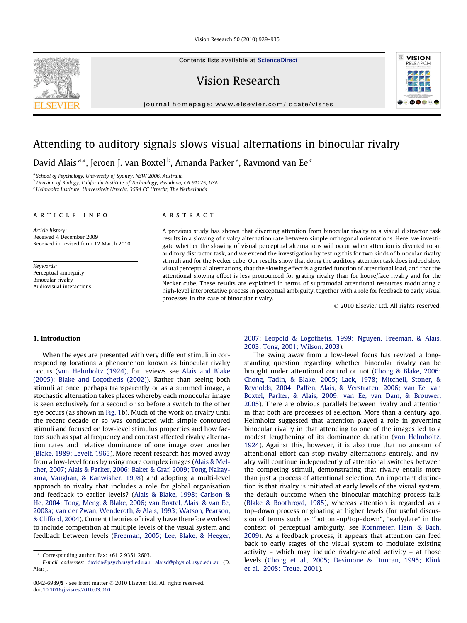Vision Research 50 (2010) 929–935

Contents lists available at [ScienceDirect](http://www.sciencedirect.com/science/journal/00426989)

Vision Research

journal homepage: www.elsevier.com/locate/visres



# Attending to auditory signals slows visual alternations in binocular rivalry

David Alais <sup>a,</sup>\*, Jeroen J. van Boxtel <sup>b</sup>, Amanda Parker <sup>a</sup>, Raymond van Ee <sup>c</sup>

<sup>a</sup> School of Psychology, University of Sydney, NSW 2006, Australia

b Division of Biology, California Institute of Technology, Pasadena, CA 91125, USA

<sup>c</sup> Helmholtz Institute, Universiteit Utrecht, 3584 CC Utrecht, The Netherlands

#### a r t i c l e i n f o

Article history: Received 4 December 2009 Received in revised form 12 March 2010

Keywords: Perceptual ambiguity Binocular rivalry Audiovisual interactions

## A B S T R A C T

A previous study has shown that diverting attention from binocular rivalry to a visual distractor task results in a slowing of rivalry alternation rate between simple orthogonal orientations. Here, we investigate whether the slowing of visual perceptual alternations will occur when attention is diverted to an auditory distractor task, and we extend the investigation by testing this for two kinds of binocular rivalry stimuli and for the Necker cube. Our results show that doing the auditory attention task does indeed slow visual perceptual alternations, that the slowing effect is a graded function of attentional load, and that the attentional slowing effect is less pronounced for grating rivalry than for house/face rivalry and for the Necker cube. These results are explained in terms of supramodal attentional resources modulating a high-level interpretative process in perceptual ambiguity, together with a role for feedback to early visual processes in the case of binocular rivalry.

 $©$  2010 Elsevier Ltd. All rights reserved.

#### 1. Introduction

When the eyes are presented with very different stimuli in corresponding locations a phenomenon known as binocular rivalry occurs [\(von Helmholtz \(1924\)](#page-6-0), for reviews see [Alais and Blake](#page-5-0) [\(2005\); Blake and Logothetis \(2002\)](#page-5-0)). Rather than seeing both stimuli at once, perhaps transparently or as a summed image, a stochastic alternation takes places whereby each monocular image is seen exclusively for a second or so before a switch to the other eye occurs (as shown in [Fig. 1](#page-1-0)b). Much of the work on rivalry until the recent decade or so was conducted with simple contoured stimuli and focused on low-level stimulus properties and how factors such as spatial frequency and contrast affected rivalry alternation rates and relative dominance of one image over another ([Blake, 1989; Levelt, 1965](#page-5-0)). More recent research has moved away from a low-level focus by using more complex images [\(Alais & Mel](#page-5-0)[cher, 2007; Alais & Parker, 2006; Baker & Graf, 2009; Tong, Nakay](#page-5-0)[ama, Vaughan, & Kanwisher, 1998\)](#page-5-0) and adopting a multi-level approach to rivalry that includes a role for global organisation and feedback to earlier levels? [\(Alais & Blake, 1998; Carlson &](#page-5-0) [He, 2004; Tong, Meng, & Blake, 2006; van Boxtel, Alais, & van Ee,](#page-5-0) [2008a; van der Zwan, Wenderoth, & Alais, 1993; Watson, Pearson,](#page-5-0) [& Clifford, 2004](#page-5-0)). Current theories of rivalry have therefore evolved to include competition at multiple levels of the visual system and feedback between levels ([Freeman, 2005; Lee, Blake, & Heeger,](#page-5-0)

[2007; Leopold & Logothetis, 1999; Nguyen, Freeman, & Alais,](#page-5-0) [2003; Tong, 2001; Wilson, 2003](#page-5-0)).

The swing away from a low-level focus has revived a longstanding question regarding whether binocular rivalry can be brought under attentional control or not ([Chong & Blake, 2006;](#page-5-0) [Chong, Tadin, & Blake, 2005; Lack, 1978; Mitchell, Stoner, &](#page-5-0) [Reynolds, 2004; Paffen, Alais, & Verstraten, 2006; van Ee, van](#page-5-0) [Boxtel, Parker, & Alais, 2009; van Ee, van Dam, & Brouwer,](#page-5-0) [2005](#page-5-0)). There are obvious parallels between rivalry and attention in that both are processes of selection. More than a century ago, Helmholtz suggested that attention played a role in governing binocular rivalry in that attending to one of the images led to a modest lengthening of its dominance duration [\(von Helmholtz,](#page-6-0) [1924\)](#page-6-0). Against this, however, it is also true that no amount of attentional effort can stop rivalry alternations entirely, and rivalry will continue independently of attentional switches between the competing stimuli, demonstrating that rivalry entails more than just a process of attentional selection. An important distinction is that rivalry is initiated at early levels of the visual system, the default outcome when the binocular matching process fails ([Blake & Boothroyd, 1985\)](#page-5-0), whereas attention is regarded as a top–down process originating at higher levels (for useful discussion of terms such as "bottom-up/top-down", "early/late" in the context of perceptual ambiguity, see [Kornmeier, Hein, & Bach,](#page-5-0) [2009](#page-5-0)). As a feedback process, it appears that attention can feed back to early stages of the visual system to modulate existing activity – which may include rivalry-related activity – at those levels [\(Chong et al., 2005; Desimone & Duncan, 1995; Klink](#page-5-0) [et al., 2008; Treue, 2001\)](#page-5-0).

<sup>\*</sup> Corresponding author. Fax: +61 2 9351 2603.

E-mail addresses: [davida@psych.usyd.edu.au](mailto:davida@psych.usyd.edu.au), [alaisd@physiol.usyd.edu.au](mailto:alaisd@physiol.usyd.edu.au) (D. Alais).

<sup>0042-6989/\$ -</sup> see front matter @ 2010 Elsevier Ltd. All rights reserved. doi[:10.1016/j.visres.2010.03.010](http://dx.doi.org/10.1016/j.visres.2010.03.010)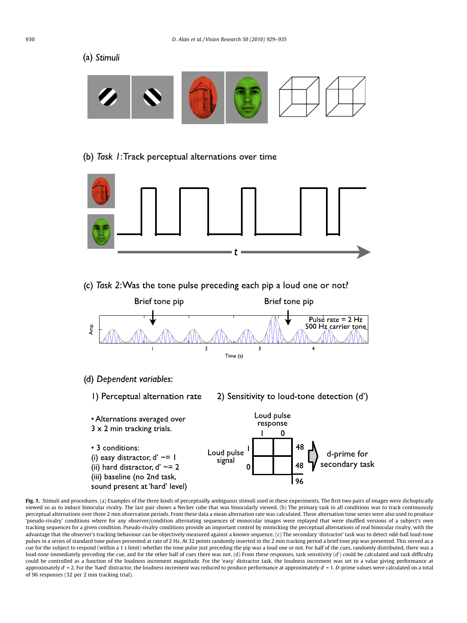(a) Stimuli



# (b) Task 1: Track perceptual alternations over time



(c) Task 2: Was the tone pulse preceding each pip a loud one or not?





<span id="page-1-0"></span>Fig. 1. Stimuli and procedures. (a) Examples of the three kinds of perceptually ambiguous stimuli used in these experiments. The first two pairs of images were dichoptically viewed so as to induce binocular rivalry. The last pair shows a Necker cube that was binocularly viewed. (b) The primary task in all conditions was to track continuously perceptual alternations over three 2 min observation periods. From these data a mean alternation rate was calculated. These alternation time series were also used to produce 'pseudo-rivalry' conditions where for any observer/condition alternating sequences of monocular images were replayed that were shuffled versions of a subject's own tracking sequences for a given condition. Pseudo-rivalry conditions provide an important control by mimicking the perceptual alternations of real binocular rivalry, with the advantage that the observer's tracking behaviour can be objectively measured against a known sequence. (c) The secondary 'distractor' task was to detect odd-ball loud-tone pulses in a series of standard tone pulses presented at rate of 2 Hz. At 32 points randomly inserted in the 2 min tracking period a brief tone pip was presented. This served as a cue for the subject to respond (within a 1 s limit) whether the tone pulse just preceding the pip was a loud one or not. For half of the cues, randomly distributed, there was a loud-tone immediately preceding the cue, and for the other half of cues there was not. (d) From these responses, task sensitivity  $(d')$  could be calculated and task difficulty could be controlled as a function of the loudness increment magnitude. For the 'easy' distractor task, the loudness increment was set to a value giving performance at approximately  $d'$  = 2. For the 'hard' distractor, the loudness increment was reduced to produce performance at approximately  $d'$  = 1. D-prime values were calculated on a total of 96 responses (32 per 2 min tracking trial).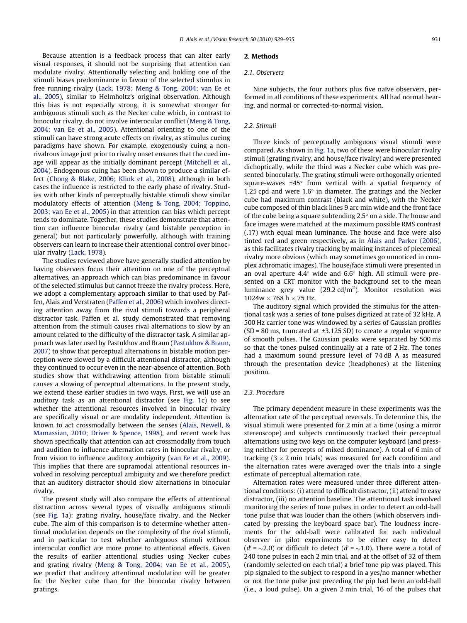Because attention is a feedback process that can alter early visual responses, it should not be surprising that attention can modulate rivalry. Attentionally selecting and holding one of the stimuli biases predominance in favour of the selected stimulus in free running rivalry ([Lack, 1978; Meng & Tong, 2004; van Ee et](#page-6-0) [al., 2005\)](#page-6-0), similar to Helmholtz's original observation. Although this bias is not especially strong, it is somewhat stronger for ambiguous stimuli such as the Necker cube which, in contrast to binocular rivalry, do not involve interocular conflict ([Meng & Tong,](#page-6-0) [2004; van Ee et al., 2005\)](#page-6-0). Attentional orienting to one of the stimuli can have strong acute effects on rivalry, as stimulus cueing paradigms have shown. For example, exogenously cuing a nonrivalrous image just prior to rivalry onset ensures that the cued image will appear as the initially dominant percept [\(Mitchell et al.,](#page-6-0) [2004](#page-6-0)). Endogenous cuing has been shown to produce a similar effect [\(Chong & Blake, 2006; Klink et al., 2008](#page-5-0)), although in both cases the influence is restricted to the early phase of rivalry. Studies with other kinds of perceptually bistable stimuli show similar modulatory effects of attention ([Meng & Tong, 2004; Toppino,](#page-6-0) [2003; van Ee et al., 2005\)](#page-6-0) in that attention can bias which percept tends to dominate. Together, these studies demonstrate that attention can influence binocular rivalry (and bistable perception in general) but not particularly powerfully, although with training observers can learn to increase their attentional control over binocular rivalry ([Lack, 1978\)](#page-6-0).

The studies reviewed above have generally studied attention by having observers focus their attention on one of the perceptual alternatives, an approach which can bias predominance in favour of the selected stimulus but cannot freeze the rivalry process. Here, we adopt a complementary approach similar to that used by Paffen, Alais and Verstraten [\(Paffen et al., 2006](#page-6-0)) which involves directing attention away from the rival stimuli towards a peripheral distractor task. Paffen et al. study demonstrated that removing attention from the stimuli causes rival alternations to slow by an amount related to the difficulty of the distractor task. A similar approach was later used by Pastukhov and Braun ([Pastukhov & Braun,](#page-6-0) [2007](#page-6-0)) to show that perceptual alternations in bistable motion perception were slowed by a difficult attentional distractor, although they continued to occur even in the near-absence of attention. Both studies show that withdrawing attention from bistable stimuli causes a slowing of perceptual alternations. In the present study, we extend these earlier studies in two ways. First, we will use an auditory task as an attentional distractor (see [Fig. 1](#page-1-0)c) to see whether the attentional resources involved in binocular rivalry are specifically visual or are modality independent. Attention is known to act crossmodally between the senses ([Alais, Newell, &](#page-5-0) [Mamassian, 2010; Driver & Spence, 1998\)](#page-5-0), and recent work has shown specifically that attention can act crossmodally from touch and audition to influence alternation rates in binocular rivalry, or from vision to influence auditory ambiguity [\(van Ee et al., 2009\)](#page-6-0). This implies that there are supramodal attentional resources involved in resolving perceptual ambiguity and we therefore predict that an auditory distractor should slow alternations in binocular rivalry.

The present study will also compare the effects of attentional distraction across several types of visually ambiguous stimuli (see [Fig. 1](#page-1-0)a): grating rivalry, house/face rivalry, and the Necker cube. The aim of this comparison is to determine whether attentional modulation depends on the complexity of the rival stimuli, and in particular to test whether ambiguous stimuli without interocular conflict are more prone to attentional effects. Given the results of earlier attentional studies using Necker cubes and grating rivalry ([Meng & Tong, 2004; van Ee et al., 2005\)](#page-6-0), we predict that auditory attentional modulation will be greater for the Necker cube than for the binocular rivalry between gratings.

## 2. Methods

#### 2.1. Observers

Nine subjects, the four authors plus five naïve observers, performed in all conditions of these experiments. All had normal hearing, and normal or corrected-to-normal vision.

#### 2.2. Stimuli

Three kinds of perceptually ambiguous visual stimuli were compared. As shown in [Fig. 1a](#page-1-0), two of these were binocular rivalry stimuli (grating rivalry, and house/face rivalry) and were presented dichoptically, while the third was a Necker cube which was presented binocularly. The grating stimuli were orthogonally oriented square-waves  $\pm 45^\circ$  from vertical with a spatial frequency of 1.25 cpd and were  $1.6^{\circ}$  in diameter. The gratings and the Necker cube had maximum contrast (black and white), with the Necker cube composed of thin black lines 9 arc min wide and the front face of the cube being a square subtending  $2.5^{\circ}$  on a side. The house and face images were matched at the maximum possible RMS contrast (.17) with equal mean luminance. The house and face were also tinted red and green respectively, as in [Alais and Parker \(2006\),](#page-5-0) as this facilitates rivalry tracking by making instances of piecemeal rivalry more obvious (which may sometimes go unnoticed in complex achromatic images). The house/face stimuli were presented in an oval aperture 4.4 $\degree$  wide and 6.6 $\degree$  high. All stimuli were presented on a CRT monitor with the background set to the mean luminance grey value  $(29.2 \text{ cd/m}^2)$ . Monitor resolution was  $1024w \times 768 h \times 75 Hz$ .

The auditory signal which provided the stimulus for the attentional task was a series of tone pulses digitized at rate of 32 kHz. A 500 Hz carrier tone was windowed by a series of Gaussian profiles  $(SD = 80 \text{ ms},$  truncated at  $\pm 3.125 \text{ SD}$ ) to create a regular sequence of smooth pulses. The Gaussian peaks were separated by 500 ms so that the tones pulsed continually at a rate of 2 Hz. The tones had a maximum sound pressure level of 74 dB A as measured through the presentation device (headphones) at the listening position.

#### 2.3. Procedure

The primary dependent measure in these experiments was the alternation rate of the perceptual reversals. To determine this, the visual stimuli were presented for 2 min at a time (using a mirror stereoscope) and subjects continuously tracked their perceptual alternations using two keys on the computer keyboard (and pressing neither for percepts of mixed dominance). A total of 6 min of tracking  $(3 \times 2 \text{ min trials})$  was measured for each condition and the alternation rates were averaged over the trials into a single estimate of perceptual alternation rate.

Alternation rates were measured under three different attentional conditions: (i) attend to difficult distractor, (ii) attend to easy distractor, (iii) no attention baseline. The attentional task involved monitoring the series of tone pulses in order to detect an odd-ball tone pulse that was louder than the others (which observers indicated by pressing the keyboard space bar). The loudness increments for the odd-ball were calibrated for each individual observer in pilot experiments to be either easy to detect  $(d' = \sim 2.0)$  or difficult to detect  $(d' = \sim 1.0)$ . There were a total of 240 tone pulses in each 2 min trial, and at the offset of 32 of them (randomly selected on each trial) a brief tone pip was played. This pip signaled to the subject to respond in a yes/no manner whether or not the tone pulse just preceding the pip had been an odd-ball (i.e., a loud pulse). On a given 2 min trial, 16 of the pulses that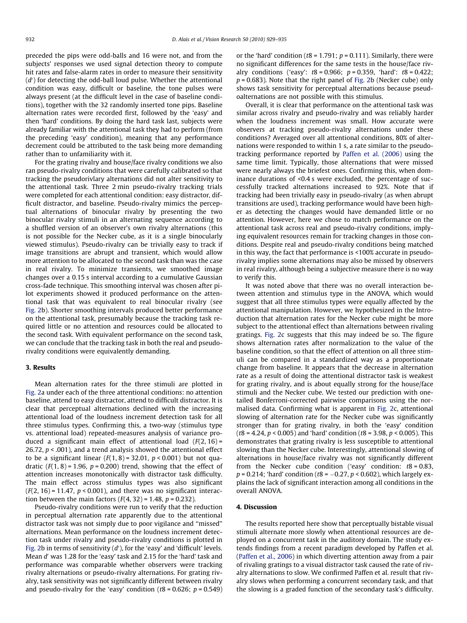preceded the pips were odd-balls and 16 were not, and from the subjects' responses we used signal detection theory to compute hit rates and false-alarm rates in order to measure their sensitivity  $(d')$  for detecting the odd-ball loud pulse. Whether the attentional condition was easy, difficult or baseline, the tone pulses were always present (at the difficult level in the case of baseline conditions), together with the 32 randomly inserted tone pips. Baseline alternation rates were recorded first, followed by the 'easy' and then 'hard' conditions. By doing the hard task last, subjects were already familiar with the attentional task they had to perform (from the preceding 'easy' condition), meaning that any performance decrement could be attributed to the task being more demanding rather than to unfamiliarity with it.

For the grating rivalry and house/face rivalry conditions we also ran pseudo-rivalry conditions that were carefully calibrated so that tracking the pseudorivlary alternations did not alter sensitivity to the attentional task. Three 2 min pseudo-rivalry tracking trials were completed for each attentional condition: easy distractor, difficult distractor, and baseline. Pseudo-rivalry mimics the perceptual alternations of binocular rivalry by presenting the two binocular rivalry stimuli in an alternating sequence according to a shuffled version of an observer's own rivalry alternations (this is not possible for the Necker cube, as it is a single binocularly viewed stimulus). Pseudo-rivalry can be trivially easy to track if image transitions are abrupt and transient, which would allow more attention to be allocated to the second task than was the case in real rivalry. To minimize transients, we smoothed image changes over a 0.15 s interval according to a cumulative Gaussian cross-fade technique. This smoothing interval was chosen after pilot experiments showed it produced performance on the attentional task that was equivalent to real binocular rivalry (see [Fig. 2b](#page-4-0)). Shorter smoothing intervals produced better performance on the attentional task, presumably because the tracking task required little or no attention and resources could be allocated to the second task. With equivalent performance on the second task, we can conclude that the tracking task in both the real and pseudorivalry conditions were equivalently demanding.

#### 3. Results

Mean alternation rates for the three stimuli are plotted in [Fig. 2a](#page-4-0) under each of the three attentional conditions: no attention baseline, attend to easy distractor, attend to difficult distractor. It is clear that perceptual alternations declined with the increasing attentional load of the loudness increment detection task for all three stimulus types. Confirming this, a two-way (stimulus type vs. attentional load) repeated-measures analysis of variance produced a significant main effect of attentional load  $(F(2, 16) =$ 26.72,  $p < .001$ ), and a trend analysis showed the attentional effect to be a significant linear  $(F(1, 8) = 32.01, p < 0.001)$  but not quadratic  $(F(1, 8) = 1.96, p = 0.200)$  trend, showing that the effect of attention increases monotonically with distractor task difficulty. The main effect across stimulus types was also significant  $(F(2, 16) = 11.47, p < 0.001)$ , and there was no significant interaction between the main factors  $(F(4, 32) = 1.48, p = 0.232)$ .

Pseudo-rivalry conditions were run to verify that the reduction in perceptual alternation rate apparently due to the attentional distractor task was not simply due to poor vigilance and ''missed'' alternations. Mean performance on the loudness increment detection task under rivalry and pseudo-rivalry conditions is plotted in [Fig. 2](#page-4-0)b in terms of sensitivity  $(d')$ , for the 'easy' and 'difficult' levels. Mean d' was 1.28 for the 'easy' task and 2.15 for the 'hard' task and performance was comparable whether observers were tracking rivalry alternations or pseudo-rivalry alternations. For grating rivalry, task sensitivity was not significantly different between rivalry and pseudo-rivalry for the 'easy' condition ( $t8 = 0.626$ ;  $p = 0.549$ ) or the 'hard' condition ( $t8 = 1.791$ ;  $p = 0.111$ ). Similarly, there were no significant differences for the same tests in the house/face rivalry conditions ('easy':  $t8 = 0.966$ ;  $p = 0.359$ , 'hard':  $t8 = 0.422$ ;  $p = 0.683$ ). Note that the right panel of [Fig. 2b](#page-4-0) (Necker cube) only shows task sensitivity for perceptual alternations because pseudoalternations are not possible with this stimulus.

Overall, it is clear that performance on the attentional task was similar across rivalry and pseudo-rivalry and was reliably harder when the loudness increment was small. How accurate were observers at tracking pseudo-rivalry alternations under these conditions? Averaged over all attentional conditions, 80% of alternations were responded to within 1 s, a rate similar to the pseudotracking performance reported by [Paffen et al. \(2006\)](#page-6-0) using the same time limit. Typically, those alternations that were missed were nearly always the briefest ones. Confirming this, when dominance durations of <0.4 s were excluded, the percentage of successfully tracked alternations increased to 92%. Note that if tracking had been trivially easy in pseudo-rivalry (as when abrupt transitions are used), tracking performance would have been higher as detecting the changes would have demanded little or no attention. However, here we chose to match performance on the attentional task across real and pseudo-rivalry conditions, implying equivalent resources remain for tracking changes in those conditions. Despite real and pseudo-rivalry conditions being matched in this way, the fact that performance is <100% accurate in pseudorivalry implies some alternations may also be missed by observers in real rivalry, although being a subjective measure there is no way to verify this.

It was noted above that there was no overall interaction between attention and stimulus type in the ANOVA, which would suggest that all three stimulus types were equally affected by the attentional manipulation. However, we hypothesized in the Introduction that alternation rates for the Necker cube might be more subject to the attentional effect than alternations between rivaling gratings. [Fig. 2c](#page-4-0) suggests that this may indeed be so. The figure shows alternation rates after normalization to the value of the baseline condition, so that the effect of attention on all three stimuli can be compared in a standardized way as a proportionate change from baseline. It appears that the decrease in alternation rate as a result of doing the attentional distractor task is weakest for grating rivalry, and is about equally strong for the house/face stimuli and the Necker cube. We tested our prediction with onetailed Bonferroni-corrected pairwise comparisons using the normalised data. Confirming what is apparent in [Fig. 2](#page-4-0)c, attentional slowing of alternation rate for the Necker cube was significantly stronger than for grating rivalry, in both the 'easy' condition ( $t8 = 4.24$ ,  $p < 0.005$ ) and 'hard' condition ( $t8 = 3.98$ ,  $p < 0.005$ ). This demonstrates that grating rivalry is less susceptible to attentional slowing than the Necker cube. Interestingly, attentional slowing of alternations in house/face rivalry was not significantly different from the Necker cube condition ('easy' condition:  $t8 = 0.83$ ,  $p = 0.214$ ; 'hard' condition (t8 =  $-0.27$ ,  $p < 0.602$ ), which largely explains the lack of significant interaction among all conditions in the overall ANOVA.

# 4. Discussion

The results reported here show that perceptually bistable visual stimuli alternate more slowly when attentional resources are deployed on a concurrent task in the auditory domain. The study extends findings from a recent paradigm developed by Paffen et al. ([Paffen](#page-6-0) et al., 2006) in which diverting attention away from a pair of rivaling gratings to a visual distractor task caused the rate of rivalry alternations to slow. We confirmed Paffen et al. result that rivalry slows when performing a concurrent secondary task, and that the slowing is a graded function of the secondary task's difficulty.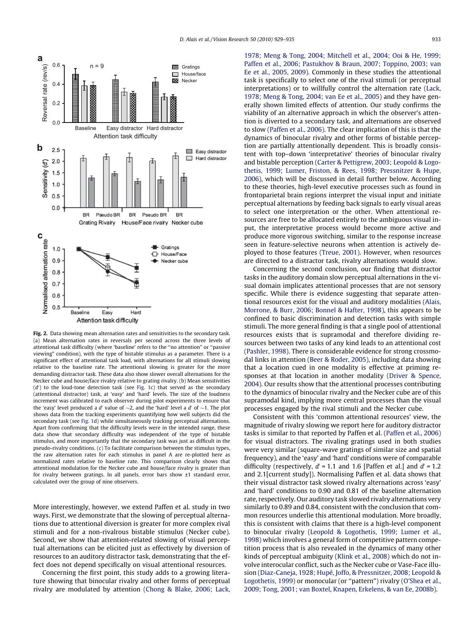

Fig. 2. Data showing mean alternation rates and sensitivities to the secondary task. (a) Mean alternation rates in reversals per second across the three levels of attentional task difficulty (where 'baseline' refers to the ''no attention" or ''passive viewing" condition), with the type of bistable stimulus as a parameter. There is a significant effect of attentional task load, with alternations for all stimuli slowing relative to the baseline rate. The attentional slowing is greater for the more demanding distractor task. These data also show slower overall alternations for the Necker cube and house/face rivalry relative to grating rivalry. (b) Mean sensitivities  $(d')$  to the loud-tone detection task (see [Fig. 1](#page-1-0)c) that served as the secondary (attentional distractor) task, at 'easy' and 'hard' levels. The size of the loudness increment was calibrated to each observer during pilot experiments to ensure that the 'easy' level produced a d' value of  $\sim$ 2, and the 'hard' level a d' of  $\sim$ 1. The plot shows data from the tracking experiments quantifying how well subjects did the secondary task (see [Fig. 1d](#page-1-0)) while simultaneously tracking perceptual alternations. Apart from confirming that the difficulty levels were in the intended range, these data show that secondary difficulty was independent of the type of bistable stimulus, and more importantly that the secondary task was just as difficult in the pseudo-rivalry conditions. (c) To facilitate comparison between the stimulus types, the raw alternation rates for each stimulus in panel A are re-plotted here as normalized rates relative to baseline rate. This comparison clearly shows that attentional modulation for the Necker cube and house/face rivalry is greater than for rivalry between gratings. In all panels, error bars show ±1 standard error, calculated over the group of nine observers.

More interestingly, however, we extend Paffen et al. study in two ways. First, we demonstrate that the slowing of perceptual alternations due to attentional diversion is greater for more complex rival stimuli and for a non-rivalrous bistable stimulus (Necker cube). Second, we show that attention-related slowing of visual perceptual alternations can be elicited just as effectively by diversion of resources to an auditory distractor task, demonstrating that the effect does not depend specifically on visual attentional resources.

<span id="page-4-0"></span>Concerning the first point, this study adds to a growing literature showing that binocular rivalry and other forms of perceptual rivalry are modulated by attention [\(Chong & Blake, 2006; Lack,](#page-5-0)

[1978; Meng & Tong, 2004; Mitchell et al., 2004; Ooi & He, 1999;](#page-5-0) [Paffen et al., 2006; Pastukhov & Braun, 2007; Toppino, 2003; van](#page-5-0) [Ee et al., 2005, 2009](#page-5-0)). Commonly in these studies the attentional task is specifically to select one of the rival stimuli (or perceptual interpretations) or to willfully control the alternation rate ([Lack,](#page-6-0) [1978; Meng & Tong, 2004; van Ee et al., 2005](#page-6-0)) and they have generally shown limited effects of attention. Our study confirms the viability of an alternative approach in which the observer's attention is diverted to a secondary task, and alternations are observed to slow [\(Paffen et al., 2006\)](#page-6-0). The clear implication of this is that the dynamics of binocular rivalry and other forms of bistable perception are partially attentionally dependent. This is broadly consistent with top–down 'interpretative' theories of binocular rivalry and bistable perception ([Carter & Pettigrew, 2003; Leopold & Logo](#page-5-0)[thetis, 1999; Lumer, Friston, & Rees, 1998; Pressnitzer & Hupe,](#page-5-0) [2006](#page-5-0)), which will be discussed in detail further below. According to these theories, high-level executive processes such as found in frontoparietal brain regions interpret the visual input and initiate perceptual alternations by feeding back signals to early visual areas to select one interpretation or the other. When attentional resources are free to be allocated entirely to the ambiguous visual input, the interpretative process would become more active and produce more vigorous switching, similar to the response increase seen in feature-selective neurons when attention is actively deployed to those features ([Treue, 2001\)](#page-6-0). However, when resources are directed to a distractor task, rivalry alternations would slow.

Concerning the second conclusion, our finding that distractor tasks in the auditory domain slow perceptual alternations in the visual domain implicates attentional processes that are not sensory specific. While there is evidence suggesting that separate attentional resources exist for the visual and auditory modalities [\(Alais,](#page-5-0) [Morrone, & Burr, 2006; Bonnel & Hafter, 1998\)](#page-5-0), this appears to be confined to basic discrimination and detection tasks with simple stimuli. The more general finding is that a single pool of attentional resources exists that is supramodal and therefore dividing resources between two tasks of any kind leads to an attentional cost ([Pashler, 1998](#page-6-0)). There is considerable evidence for strong crossmodal links in attention [\(Beer & Roder, 2005](#page-5-0)), including data showing that a location cued in one modality is effective at priming responses at that location in another modality ([Driver & Spence,](#page-5-0) [2004](#page-5-0)). Our results show that the attentional processes contributing to the dynamics of binocular rivalry and the Necker cube are of this supramodal kind, implying more central processes than the visual processes engaged by the rival stimuli and the Necker cube.

Consistent with this 'common attentional resources' view, the magnitude of rivalry slowing we report here for auditory distractor tasks is similar to that reported by Paffen et al. ([Paffen et al., 2006\)](#page-6-0) for visual distractors. The rivaling gratings used in both studies were very similar (square-wave gratings of similar size and spatial frequency), and the 'easy' and 'hard' conditions were of comparable difficulty (respectively,  $d' = 1.1$  and 1.6 [Paffen et al.] and  $d' = 1.2$ and 2.1[current study]). Normalising Paffen et al. data shows that their visual distractor task slowed rivalry alternations across 'easy' and 'hard' conditions to 0.90 and 0.81 of the baseline alternation rate, respectively. Our auditory task slowed rivalry alternations very similarly to 0.89 and 0.84, consistent with the conclusion that common resources underlie this attentional modulation. More broadly, this is consistent with claims that there is a high-level component to binocular rivalry ([Leopold & Logothetis, 1999; Lumer et al.,](#page-6-0) [1998\)](#page-6-0) which involves a general form of competitive pattern competition process that is also revealed in the dynamics of many other kinds of perceptual ambiguity [\(Klink et al., 2008](#page-5-0)) which do not involve interocular conflict, such as the Necker cube or Vase-Face illusion ([Diaz-Caneja, 1928; Hupé, Joffo, & Pressnitzer, 2008; Leopold &](#page-5-0) [Logothetis, 1999\)](#page-5-0) or monocular (or "pattern") rivalry ([O'Shea et al.,](#page-6-0) [2009; Tong, 2001; van Boxtel, Knapen, Erkelens, & van Ee, 2008b](#page-6-0)).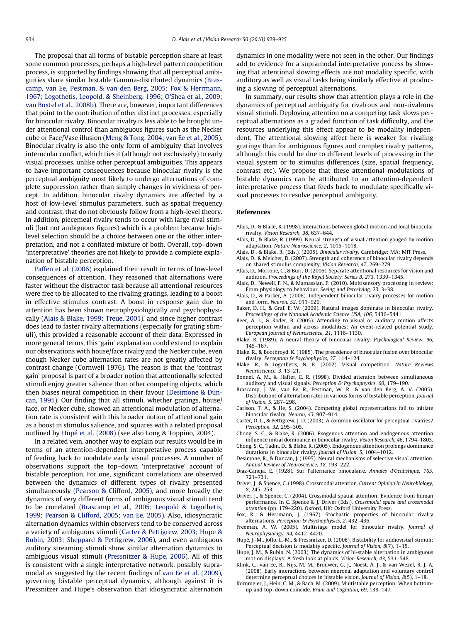The proposal that all forms of bistable perception share at least some common processes, perhaps a high-level pattern competition process, is supported by findings showing that all perceptual ambiguities share similar bistable Gamma-distributed dynamics [\(Bras](#page-5-0)[camp, van Ee, Pestman, & van den Berg, 2005; Fox & Herrmann,](#page-5-0) [1967; Logothetis, Leopold, & Sheinberg, 1996; O'Shea et al., 2009;](#page-5-0) [van Boxtel et al., 2008b\)](#page-5-0). There are, however, important differences that point to the contribution of other distinct processes, especially for binocular rivalry. Binocular rivalry is less able to be brought under attentional control than ambiguous figures such as the Necker cube or Face/Vase illusion ([Meng & Tong, 2004; van Ee et al., 2005\)](#page-6-0). Binocular rivalry is also the only form of ambiguity that involves interocular conflict, which ties it (although not exclusively) to early visual processes, unlike other perceptual ambiguities. This appears to have important consequences because binocular rivalry is the perceptual ambiguity most likely to undergo alternations of complete suppression rather than simply changes in vividness of percept. In addition, binocular rivalry dynamics are affected by a host of low-level stimulus parameters, such as spatial frequency and contrast, that do not obviously follow from a high-level theory. In addition, piecemeal rivalry tends to occur with large rival stimuli (but not ambiguous figures) which is a problem because highlevel selection should be a choice between one or the other interpretation, and not a conflated mixture of both. Overall, top–down 'interpretative' theories are not likely to provide a complete explanation of bistable perception.

[Paffen et al. \(2006\)](#page-6-0) explained their result in terms of low-level consequences of attention. They reasoned that alternations were faster without the distractor task because all attentional resources were free to be allocated to the rivaling gratings, leading to a boost in effective stimulus contrast. A boost in response gain due to attention has been shown neurophysiologically and psychophysically [\(Alais & Blake, 1999; Treue, 2001\)](#page-5-0), and since higher contrast does lead to faster rivalry alternations (especially for grating stimuli), this provided a reasonable account of their data. Expressed in more general terms, this 'gain' explanation could extend to explain our observations with house/face rivalry and the Necker cube, even though Necker cube alternation rates are not greatly affected by contrast change (Cornwell 1976). The reason is that the 'contrast gain' proposal is part of a broader notion that attentionally selected stimuli enjoy greater salience than other competing objects, which then biases neural competition in their favour ([Desimone & Dun](#page-5-0)[can, 1995\)](#page-5-0). Our finding that all stimuli, whether gratings, house/ face, or Necker cube, showed an attentional modulation of alternation rate is consistent with this broader notion of attentional gain as a boost in stimulus salience, and squares with a related proposal outlined by [Hupé et al. \(2008\)](#page-5-0) (see also Long & Toppino, 2004).

<span id="page-5-0"></span>In a related vein, another way to explain our results would be in terms of an attention-dependent interpretative process capable of feeding back to modulate early visual processes. A number of observations support the top–down 'interpretative' account of bistable perception. For one, significant correlations are observed between the dynamics of different types of rivalry presented simultaneously ([Pearson & Clifford, 2005\)](#page-6-0), and more broadly the dynamics of very different forms of ambiguous visual stimuli tend to be correlated [\(Brascamp et al., 2005; Leopold & Logothetis,](#page-5-0) [1999; Pearson & Clifford, 2005; van Ee, 2005](#page-5-0)). Also, idiosyncratic alternation dynamics within observers tend to be conserved across a variety of ambiguous stimuli [\(Carter & Pettigrew, 2003; Hupe &](#page-5-0) [Rubin, 2003; Sheppard & Pettigrew, 2006\)](#page-5-0), and even ambiguous auditory streaming stimuli show similar alternation dynamics to ambiguous visual stimuli [\(Pressnitzer & Hupe, 2006](#page-6-0)). All of this is consistent with a single interpretative network, possibly supramodal as suggested by the recent findings of [van Ee et al. \(2009\),](#page-6-0) governing bistable perceptual dynamics, although against it is Pressnitzer and Hupe's observation that idiosyncratic alternation dynamics in one modality were not seen in the other. Our findings add to evidence for a supramodal interpretative process by showing that attentional slowing effects are not modality specific, with auditory as well as visual tasks being similarly effective at producing a slowing of perceptual alternations.

In summary, our results show that attention plays a role in the dynamics of perceptual ambiguity for rivalrous and non-rivalrous visual stimuli. Deploying attention on a competing task slows perceptual alternations as a graded function of task difficulty, and the resources underlying this effect appear to be modality independent. The attentional slowing affect here is weaker for rivaling gratings than for ambiguous figures and complex rivalry patterns, although this could be due to different levels of processing in the visual system or to stimulus differences (size, spatial frequency, contrast etc). We propose that these attentional modulations of bistable dynamics can be attributed to an attention-dependent interpretative process that feeds back to modulate specifically visual processes to resolve perceptual ambiguity.

#### References

- Alais, D., & Blake, R. (1998). Interactions between global motion and local binocular rivalry. Vision Research, 38, 637–644.
- Alais, D., & Blake, R. (1999). Neural strength of visual attention gauged by motion adaptation. Nature Neuroscience, 2, 1015–1018.
- Alais, D., & Blake, R. (Eds.). (2005). Binocular rivalry. Cambridge: MA: MIT Press.
- Alais, D., & Melcher, D. (2007). Strength and coherence of binocular rivalry depends on shared stimulus complexity. Vision Research, 47, 269–279.
- Alais, D., Morrone, C., & Burr, D. (2006). Separate attentional resources for vision and audition. Proceedings of the Royal Society, Series B, 273, 1339–1345.
- Alais, D., Newell, F. N., & Mamassian, P. (2010). Multisensory processing in review: From physiology to behaviour. Seeing and Perceiving, 23, 3–38.
- Alais, D., & Parker, A. (2006). Independent binocular rivalry processes for motion and form. Neuron, 52, 911–920.
- Baker, D. H., & Graf, E. W. (2009). Natural images dominate in binocular rivalry. Proceedings of the National Academic Science USA, 106, 5436–5441.
- Beer, A. L., & Roder, B. (2005). Attending to visual or auditory motion affects perception within and across modalities: An event-related potential study. European Journal of Neuroscience, 21, 1116–1130.
- Blake, R. (1989). A neural theory of binocular rivalry. Psychological Review, 96, 145–167.
- Blake, R., & Boothroyd, K. (1985). The precedence of binocular fusion over binocular rivalry. Perception & Psychophysics, 37, 114–124.
- Blake, R., & Logothetis, N. K. (2002). Visual competition. Nature Reviews Neuroscience, 3, 13–21.
- Bonnel, A. M., & Hafter, E. R. (1998). Divided attention between simultaneous auditory and visual signals. Perception & Psychophysics, 60, 179-190.
- Brascamp, J. W., van Ee, R., Pestman, W. R., & van den Berg, A. V. (2005). Distributions of alternation rates in various forms of bistable perception. Journal of Vision, 5, 287–298.
- Carlson, T. A., & He, S. (2004). Competing global representations fail to initiate binocular rivalry. Neuron, 43, 907–914.
- Carter, O. L., & Pettigrew, J. D. (2003). A common oscillator for perceptual rivalries? Perception, 32, 295–305.
- Chong, S. C., & Blake, R. (2006). Exogenous attention and endogenous attention influence initial dominance in binocular rivalry. Vision Research, 46, 1794–1803.
- Chong, S. C., Tadin, D., & Blake, R. (2005). Endogenous attention prolongs dominance durations in binocular rivalry. Journal of Vision, 5, 1004–1012.
- Desimone, R., & Duncan, J. (1995). Neural mechanisms of selective visual attention. Annual Review of Neuroscience, 18, 193–222.
- Diaz-Caneja, E. (1928). Sur l'alternance binoculaire. Annales d'Oculistique, 165, 721–731.
- Driver, J., & Spence, C. (1998). Crossmodal attention. Current Opinion in Neurobiology, 8, 245–253.
- Driver, J., & Spence, C. (2004). Crossmodal spatial attention: Evidence from human performance. In C. Spence & J. Driver (Eds.), Crossmodal space and crossmodal attention (pp. 179–220). Oxford, UK: Oxford University Press.
- Fox, R., & Herrmann, J. (1967). Stochastic properties of binocular rivalry alternations. Perception & Psychophysics, 2, 432–436.
- Freeman, A. W. (2005). Multistage model for binocular rivalry. Journal of Neurophysiology, 94, 4412–4420.
- Hupé, J.-M., Joffo, L.-M., & Pressnitzer, D. (2008). Bistability for audiovisual stimuli: Perceptual decision is modality specific. Journal of Vision, 8(7), 1–15.
- Hupe, J. M., & Rubin, N. (2003). The dynamics of bi-stable alternation in ambiguous motion displays: A fresh look at plaids. Vision Research, 43, 531–548.
- Klink, C., van Ee, R., Nijs, M. M., Brouwer, G. J., Noest, A. J., & van Wezel, R. J. A. (2008). Early interactions between neuronal adaptation and voluntary control determine perceptual choices in bistable vision. Journal of Vision, 8(5), 1–18.
- Kornmeier, J., Hein, C. M., & Bach, M. (2009). Multistable perception: When bottomup and top–down coincide. Brain and Cognition, 69, 138–147.